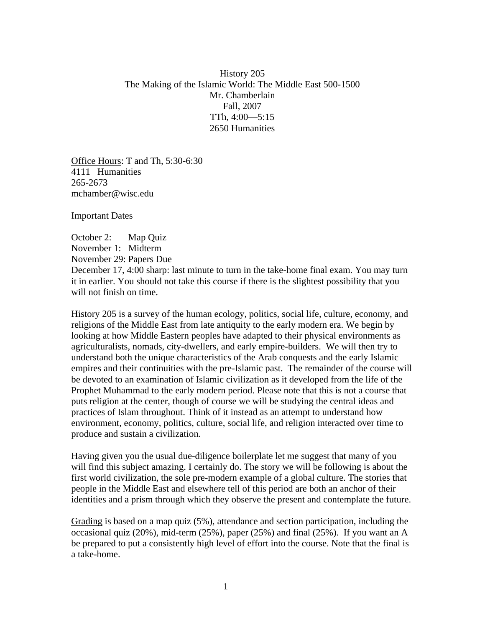History 205 The Making of the Islamic World: The Middle East 500-1500 Mr. Chamberlain Fall, 2007 TTh, 4:00—5:15 2650 Humanities

Office Hours: T and Th, 5:30-6:30 4111 Humanities 265-2673 mchamber@wisc.edu

Important Dates

October 2: Map Quiz November 1: Midterm November 29: Papers Due December 17, 4:00 sharp: last minute to turn in the take-home final exam. You may turn it in earlier. You should not take this course if there is the slightest possibility that you will not finish on time.

History 205 is a survey of the human ecology, politics, social life, culture, economy, and religions of the Middle East from late antiquity to the early modern era. We begin by looking at how Middle Eastern peoples have adapted to their physical environments as agriculturalists, nomads, city-dwellers, and early empire-builders. We will then try to understand both the unique characteristics of the Arab conquests and the early Islamic empires and their continuities with the pre-Islamic past. The remainder of the course will be devoted to an examination of Islamic civilization as it developed from the life of the Prophet Muhammad to the early modern period. Please note that this is not a course that puts religion at the center, though of course we will be studying the central ideas and practices of Islam throughout. Think of it instead as an attempt to understand how environment, economy, politics, culture, social life, and religion interacted over time to produce and sustain a civilization.

Having given you the usual due-diligence boilerplate let me suggest that many of you will find this subject amazing. I certainly do. The story we will be following is about the first world civilization, the sole pre-modern example of a global culture. The stories that people in the Middle East and elsewhere tell of this period are both an anchor of their identities and a prism through which they observe the present and contemplate the future.

Grading is based on a map quiz (5%), attendance and section participation, including the occasional quiz (20%), mid-term (25%), paper (25%) and final (25%). If you want an A be prepared to put a consistently high level of effort into the course. Note that the final is a take-home.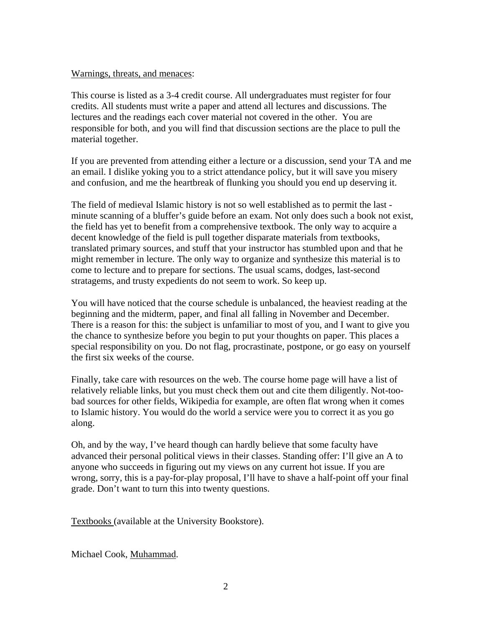## Warnings, threats, and menaces:

This course is listed as a 3-4 credit course. All undergraduates must register for four credits. All students must write a paper and attend all lectures and discussions. The lectures and the readings each cover material not covered in the other. You are responsible for both, and you will find that discussion sections are the place to pull the material together.

If you are prevented from attending either a lecture or a discussion, send your TA and me an email. I dislike yoking you to a strict attendance policy, but it will save you misery and confusion, and me the heartbreak of flunking you should you end up deserving it.

The field of medieval Islamic history is not so well established as to permit the last minute scanning of a bluffer's guide before an exam. Not only does such a book not exist, the field has yet to benefit from a comprehensive textbook. The only way to acquire a decent knowledge of the field is pull together disparate materials from textbooks, translated primary sources, and stuff that your instructor has stumbled upon and that he might remember in lecture. The only way to organize and synthesize this material is to come to lecture and to prepare for sections. The usual scams, dodges, last-second stratagems, and trusty expedients do not seem to work. So keep up.

You will have noticed that the course schedule is unbalanced, the heaviest reading at the beginning and the midterm, paper, and final all falling in November and December. There is a reason for this: the subject is unfamiliar to most of you, and I want to give you the chance to synthesize before you begin to put your thoughts on paper. This places a special responsibility on you. Do not flag, procrastinate, postpone, or go easy on yourself the first six weeks of the course.

Finally, take care with resources on the web. The course home page will have a list of relatively reliable links, but you must check them out and cite them diligently. Not-toobad sources for other fields, Wikipedia for example, are often flat wrong when it comes to Islamic history. You would do the world a service were you to correct it as you go along.

Oh, and by the way, I've heard though can hardly believe that some faculty have advanced their personal political views in their classes. Standing offer: I'll give an A to anyone who succeeds in figuring out my views on any current hot issue. If you are wrong, sorry, this is a pay-for-play proposal, I'll have to shave a half-point off your final grade. Don't want to turn this into twenty questions.

Textbooks (available at the University Bookstore).

Michael Cook, Muhammad.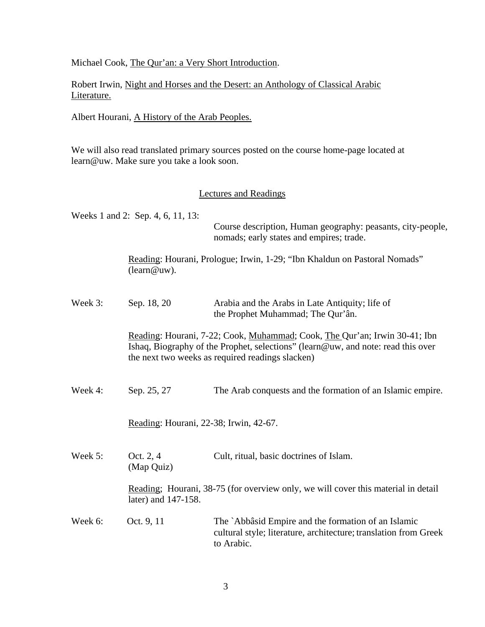Michael Cook, The Qur'an: a Very Short Introduction.

Robert Irwin, Night and Horses and the Desert: an Anthology of Classical Arabic Literature.

Albert Hourani, A History of the Arab Peoples.

We will also read translated primary sources posted on the course home-page located at learn@uw. Make sure you take a look soon.

## Lectures and Readings

Weeks 1 and 2: Sep. 4, 6, 11, 13: Course description, Human geography: peasants, city-people, nomads; early states and empires; trade. Reading: Hourani, Prologue; Irwin, 1-29; "Ibn Khaldun on Pastoral Nomads" (learn@uw). Week 3: Sep. 18, 20 Arabia and the Arabs in Late Antiquity; life of the Prophet Muhammad; The Qur'ân. Reading: Hourani, 7-22; Cook, Muhammad; Cook, The Qur'an; Irwin 30-41; Ibn Ishaq, Biography of the Prophet, selections" (learn@uw, and note: read this over the next two weeks as required readings slacken) Week 4: Sep. 25, 27 The Arab conquests and the formation of an Islamic empire. Reading: Hourani, 22-38; Irwin, 42-67. Week 5: Oct. 2, 4 Cult, ritual, basic doctrines of Islam. (Map Quiz) Reading; Hourani, 38-75 (for overview only, we will cover this material in detail later) and 147-158. Week 6: Oct. 9, 11 The `Abbâsid Empire and the formation of an Islamic cultural style; literature, architecture; translation from Greek to Arabic.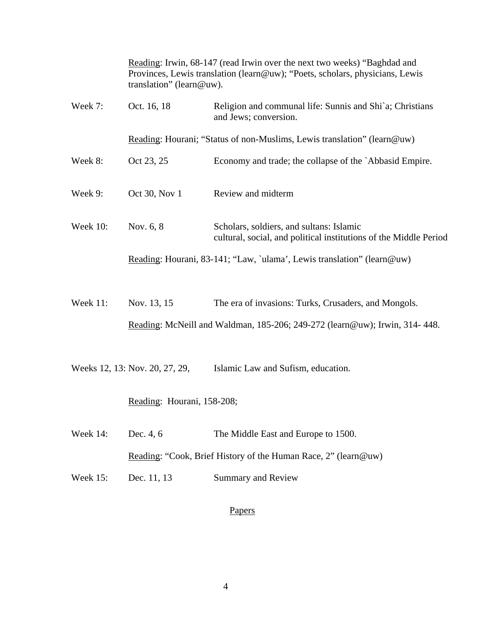|                 | Reading: Irwin, 68-147 (read Irwin over the next two weeks) "Baghdad and<br>Provinces, Lewis translation (learn@uw); "Poets, scholars, physicians, Lewis<br>translation" (learn@uw). |                                                                                                               |
|-----------------|--------------------------------------------------------------------------------------------------------------------------------------------------------------------------------------|---------------------------------------------------------------------------------------------------------------|
| Week 7:         | Oct. 16, 18                                                                                                                                                                          | Religion and communal life: Sunnis and Shi`a; Christians<br>and Jews; conversion.                             |
|                 | Reading: Hourani; "Status of non-Muslims, Lewis translation" (learn@uw)                                                                                                              |                                                                                                               |
| Week 8:         | Oct 23, 25                                                                                                                                                                           | Economy and trade; the collapse of the `Abbasid Empire.                                                       |
| Week 9:         | Oct 30, Nov 1                                                                                                                                                                        | Review and midterm                                                                                            |
| <b>Week 10:</b> | Nov. 6, 8                                                                                                                                                                            | Scholars, soldiers, and sultans: Islamic<br>cultural, social, and political institutions of the Middle Period |
|                 | Reading: Hourani, 83-141; "Law, `ulama', Lewis translation" (learn@uw)                                                                                                               |                                                                                                               |
| Week 11:        | Nov. 13, 15                                                                                                                                                                          | The era of invasions: Turks, Crusaders, and Mongols.                                                          |
|                 |                                                                                                                                                                                      | Reading: McNeill and Waldman, 185-206; 249-272 (learn@uw); Irwin, 314-448.                                    |
|                 | Weeks 12, 13: Nov. 20, 27, 29,                                                                                                                                                       | Islamic Law and Sufism, education.                                                                            |
|                 | Reading: Hourani, 158-208;                                                                                                                                                           |                                                                                                               |
| Week 14:        | Dec. 4, 6                                                                                                                                                                            | The Middle East and Europe to 1500.                                                                           |
|                 | Reading: "Cook, Brief History of the Human Race, 2" (learn@uw)                                                                                                                       |                                                                                                               |
| Week 15:        | Dec. 11, 13                                                                                                                                                                          | <b>Summary and Review</b>                                                                                     |
|                 |                                                                                                                                                                                      |                                                                                                               |

## Papers